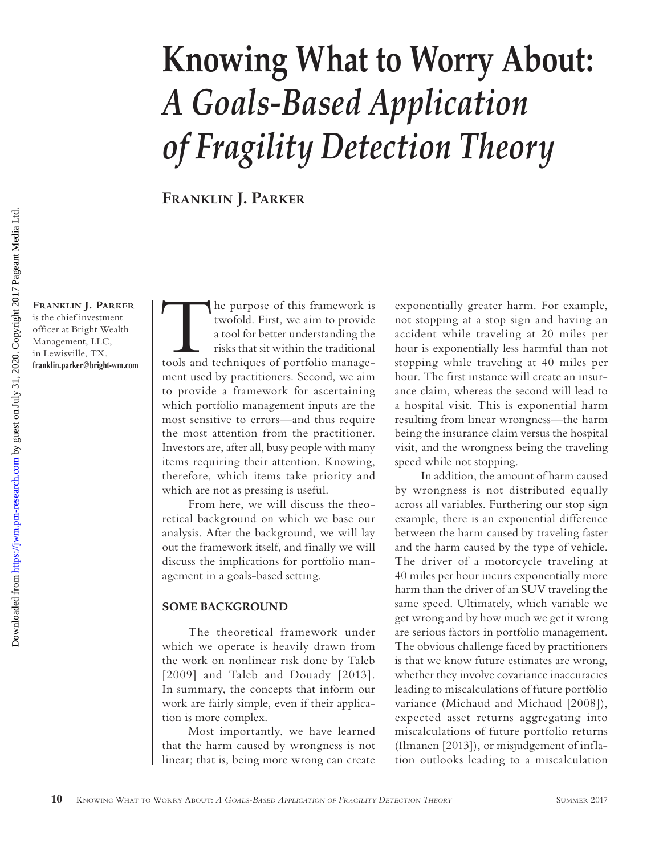# **Knowing What to Worry About:**  *A Goals-Based Application of Fragility Detection Theory*

**Franklin J. Parker**

**Franklin J. Parker** is the chief investment officer at Bright Wealth Management, LLC, in Lewisville, TX. **[franklin.parker@bright-wm.com](http://franklin.parker@bright-wm.com)** The purpose of this framework is<br>
twofold. First, we aim to provide<br>
a tool for better understanding the<br>
risks that sit within the traditional<br>
tools and techniques of portfolio managetwofold. First, we aim to provide a tool for better understanding the risks that sit within the traditional ment used by practitioners. Second, we aim to provide a framework for ascertaining which portfolio management inputs are the most sensitive to errors—and thus require the most attention from the practitioner. Investors are, after all, busy people with many items requiring their attention. Knowing, therefore, which items take priority and which are not as pressing is useful.

From here, we will discuss the theoretical background on which we base our analysis. After the background, we will lay out the framework itself, and finally we will discuss the implications for portfolio management in a goals-based setting.

### **SOME BACKGROUND**

The theoretical framework under which we operate is heavily drawn from the work on nonlinear risk done by Taleb [2009] and Taleb and Douady [2013]. In summary, the concepts that inform our work are fairly simple, even if their application is more complex.

Most importantly, we have learned that the harm caused by wrongness is not linear; that is, being more wrong can create

exponentially greater harm. For example, not stopping at a stop sign and having an accident while traveling at 20 miles per hour is exponentially less harmful than not stopping while traveling at 40 miles per hour. The first instance will create an insurance claim, whereas the second will lead to a hospital visit. This is exponential harm resulting from linear wrongness—the harm being the insurance claim versus the hospital visit, and the wrongness being the traveling speed while not stopping.

In addition, the amount of harm caused by wrongness is not distributed equally across all variables. Furthering our stop sign example, there is an exponential difference between the harm caused by traveling faster and the harm caused by the type of vehicle. The driver of a motorcycle traveling at 40 miles per hour incurs exponentially more harm than the driver of an SUV traveling the same speed. Ultimately, which variable we get wrong and by how much we get it wrong are serious factors in portfolio management. The obvious challenge faced by practitioners is that we know future estimates are wrong, whether they involve covariance inaccuracies leading to miscalculations of future portfolio variance (Michaud and Michaud [2008]), expected asset returns aggregating into miscalculations of future portfolio returns (Ilmanen [2013]), or misjudgement of inflation outlooks leading to a miscalculation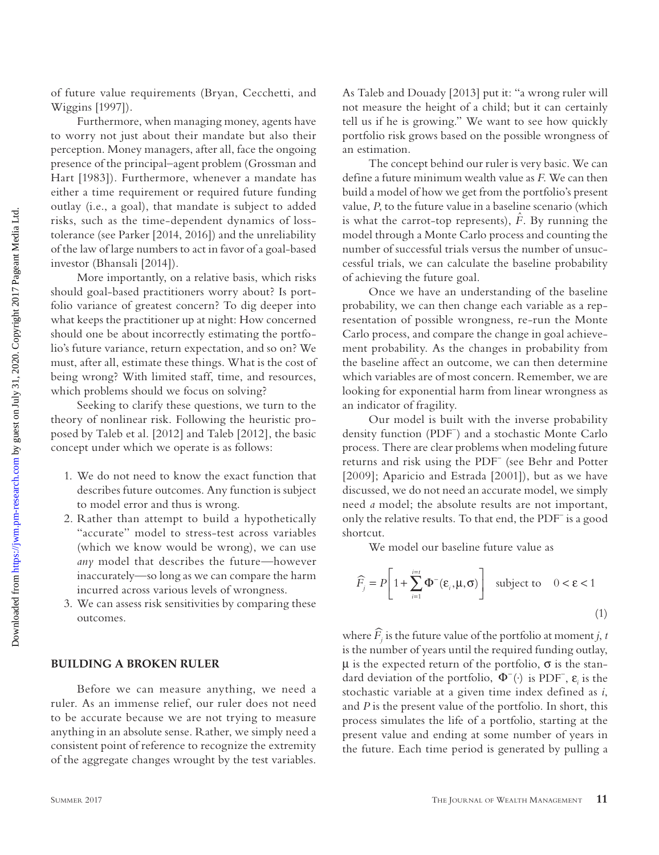of future value requirements (Bryan, Cecchetti, and Wiggins [1997]).

Furthermore, when managing money, agents have to worry not just about their mandate but also their perception. Money managers, after all, face the ongoing presence of the principal–agent problem (Grossman and Hart [1983]). Furthermore, whenever a mandate has either a time requirement or required future funding outlay (i.e., a goal), that mandate is subject to added risks, such as the time-dependent dynamics of losstolerance (see Parker [2014, 2016]) and the unreliability of the law of large numbers to act in favor of a goal-based investor (Bhansali [2014]).

More importantly, on a relative basis, which risks should goal-based practitioners worry about? Is portfolio variance of greatest concern? To dig deeper into what keeps the practitioner up at night: How concerned should one be about incorrectly estimating the portfolio's future variance, return expectation, and so on? We must, after all, estimate these things. What is the cost of being wrong? With limited staff, time, and resources, which problems should we focus on solving?

Seeking to clarify these questions, we turn to the theory of nonlinear risk. Following the heuristic proposed by Taleb et al. [2012] and Taleb [2012], the basic concept under which we operate is as follows:

- 1. We do not need to know the exact function that describes future outcomes. Any function is subject to model error and thus is wrong.
- 2. Rather than attempt to build a hypothetically "accurate" model to stress-test across variables (which we know would be wrong), we can use *any* model that describes the future—however inaccurately—so long as we can compare the harm incurred across various levels of wrongness.
- 3. We can assess risk sensitivities by comparing these outcomes.

### **BUILDING A BROKEN RULER**

Before we can measure anything, we need a ruler. As an immense relief, our ruler does not need to be accurate because we are not trying to measure anything in an absolute sense. Rather, we simply need a consistent point of reference to recognize the extremity of the aggregate changes wrought by the test variables.

As Taleb and Douady [2013] put it: "a wrong ruler will not measure the height of a child; but it can certainly tell us if he is growing." We want to see how quickly portfolio risk grows based on the possible wrongness of an estimation.

The concept behind our ruler is very basic. We can define a future minimum wealth value as *F*. We can then build a model of how we get from the portfolio's present value, *P*, to the future value in a baseline scenario (which is what the carrot-top represents),  $\hat{F}$ . By running the model through a Monte Carlo process and counting the number of successful trials versus the number of unsuccessful trials, we can calculate the baseline probability of achieving the future goal.

Once we have an understanding of the baseline probability, we can then change each variable as a representation of possible wrongness, re-run the Monte Carlo process, and compare the change in goal achievement probability. As the changes in probability from the baseline affect an outcome, we can then determine which variables are of most concern. Remember, we are looking for exponential harm from linear wrongness as an indicator of fragility.

Our model is built with the inverse probability density function (PDF- ) and a stochastic Monte Carlo process. There are clear problems when modeling future returns and risk using the PDF- (see Behr and Potter [2009]; Aparicio and Estrada [2001]), but as we have discussed, we do not need an accurate model, we simply need *a* model; the absolute results are not important, only the relative results. To that end, the PDF- is a good shortcut.

We model our baseline future value as

$$
\widehat{F}_j = P \left[ 1 + \sum_{i=1}^{i=t} \Phi^{-}(\varepsilon_i, \mu, \sigma) \right] \text{ subject to } 0 < \varepsilon < 1
$$
\n(1)

where  $\widehat{F}_i$  is the future value of the portfolio at moment *j*, *t* is the number of years until the required funding outlay,  $\mu$  is the expected return of the portfolio,  $\sigma$  is the standard deviation of the portfolio,  $\Phi^-(\cdot)$  is PDF<sup>-</sup>,  $\varepsilon$ <sub>i</sub> is the stochastic variable at a given time index defined as *i*, and *P* is the present value of the portfolio. In short, this process simulates the life of a portfolio, starting at the present value and ending at some number of years in the future. Each time period is generated by pulling a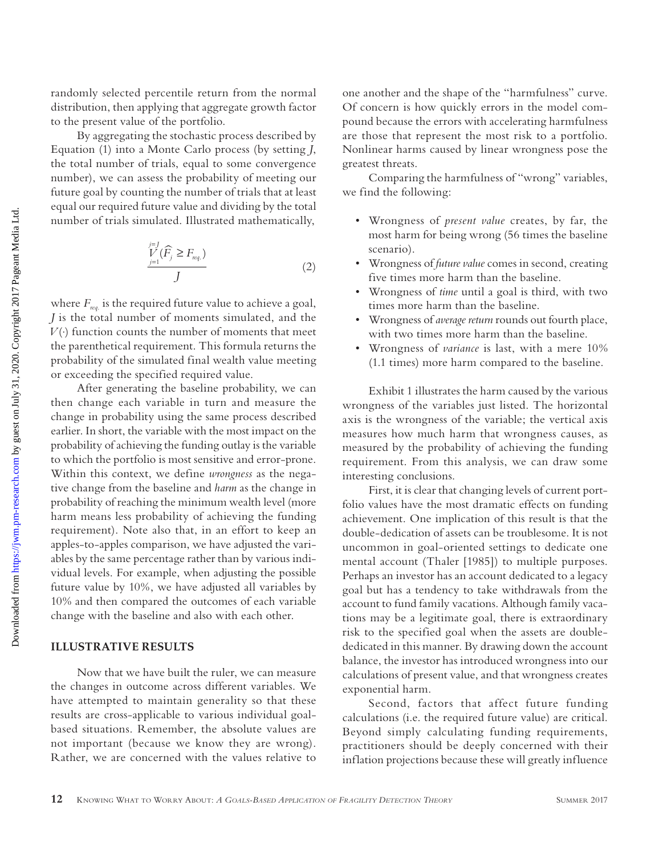randomly selected percentile return from the normal distribution, then applying that aggregate growth factor to the present value of the portfolio.

By aggregating the stochastic process described by Equation (1) into a Monte Carlo process (by setting *J*, the total number of trials, equal to some convergence number), we can assess the probability of meeting our future goal by counting the number of trials that at least equal our required future value and dividing by the total number of trials simulated. Illustrated mathematically,

$$
\frac{\sum_{j=1}^{j=1}(\widehat{F}_j \ge F_{\text{req.}})}{J}
$$
\n(2)

where  $F_{\text{req.}}$  is the required future value to achieve a goal, *J* is the total number of moments simulated, and the  $V(·)$  function counts the number of moments that meet the parenthetical requirement. This formula returns the probability of the simulated final wealth value meeting or exceeding the specified required value.

After generating the baseline probability, we can then change each variable in turn and measure the change in probability using the same process described earlier. In short, the variable with the most impact on the probability of achieving the funding outlay is the variable to which the portfolio is most sensitive and error-prone. Within this context, we define *wrongness* as the negative change from the baseline and *harm* as the change in probability of reaching the minimum wealth level (more harm means less probability of achieving the funding requirement). Note also that, in an effort to keep an apples-to-apples comparison, we have adjusted the variables by the same percentage rather than by various individual levels. For example, when adjusting the possible future value by 10%, we have adjusted all variables by 10% and then compared the outcomes of each variable change with the baseline and also with each other.

# **ILLUSTRATIVE RESULTS**

Now that we have built the ruler, we can measure the changes in outcome across different variables. We have attempted to maintain generality so that these results are cross-applicable to various individual goalbased situations. Remember, the absolute values are not important (because we know they are wrong). Rather, we are concerned with the values relative to one another and the shape of the "harmfulness" curve. Of concern is how quickly errors in the model compound because the errors with accelerating harmfulness are those that represent the most risk to a portfolio. Nonlinear harms caused by linear wrongness pose the greatest threats.

Comparing the harmfulness of "wrong" variables, we find the following:

- Wrongness of *present value* creates, by far, the most harm for being wrong (56 times the baseline scenario).
- Wrongness of *future value* comes in second, creating five times more harm than the baseline.
- Wrongness of *time* until a goal is third, with two times more harm than the baseline.
- Wrongness of *average return* rounds out fourth place, with two times more harm than the baseline.
- Wrongness of *variance* is last, with a mere 10% (1.1 times) more harm compared to the baseline.

Exhibit 1 illustrates the harm caused by the various wrongness of the variables just listed. The horizontal axis is the wrongness of the variable; the vertical axis measures how much harm that wrongness causes, as measured by the probability of achieving the funding requirement. From this analysis, we can draw some interesting conclusions.

First, it is clear that changing levels of current portfolio values have the most dramatic effects on funding achievement. One implication of this result is that the double-dedication of assets can be troublesome. It is not uncommon in goal-oriented settings to dedicate one mental account (Thaler [1985]) to multiple purposes. Perhaps an investor has an account dedicated to a legacy goal but has a tendency to take withdrawals from the account to fund family vacations. Although family vacations may be a legitimate goal, there is extraordinary risk to the specified goal when the assets are doublededicated in this manner. By drawing down the account balance, the investor has introduced wrongness into our calculations of present value, and that wrongness creates exponential harm.

Second, factors that affect future funding calculations (i.e. the required future value) are critical. Beyond simply calculating funding requirements, practitioners should be deeply concerned with their inflation projections because these will greatly influence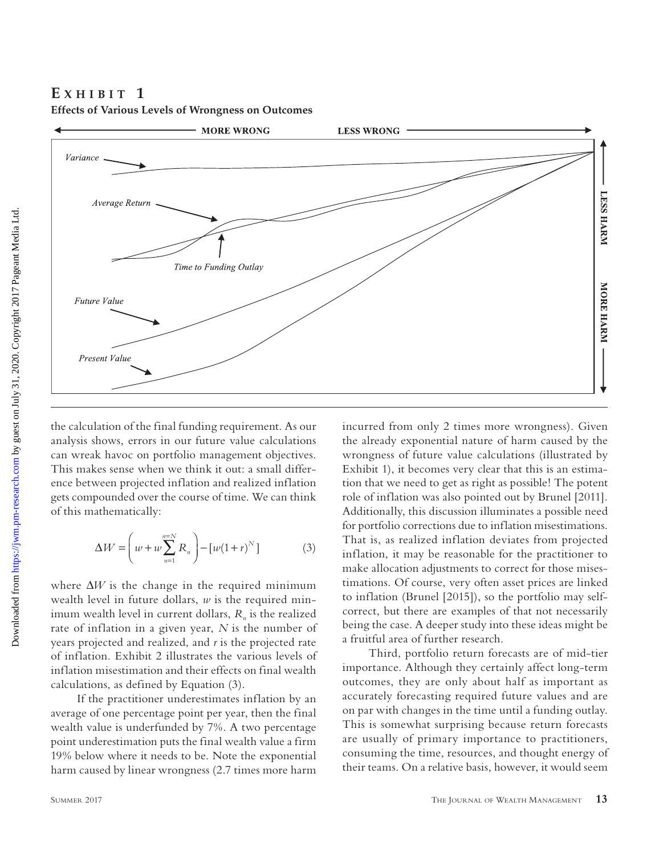# **E x H I B** I **T** 1



**Effects of Various Levels of Wrongness on Outcomes**

the calculation of the final funding requirement. As our analysis shows, errors in our future value calculations can wreak havoc on portfolio management objectives. This makes sense when we think it out: a small difference between projected inflation and realized inflation gets compounded over the course of time. We can think of this mathematically:

$$
\Delta W = \left( w + w \sum_{n=1}^{n=N} R_n \right) - \left[ w(1+r)^N \right] \tag{3}
$$

where ∆*W* is the change in the required minimum wealth level in future dollars, *w* is the required minimum wealth level in current dollars,  $R_n$  is the realized rate of inflation in a given year, *N* is the number of years projected and realized, and *r* is the projected rate of inflation. Exhibit 2 illustrates the various levels of inflation misestimation and their effects on final wealth calculations, as defined by Equation (3).

If the practitioner underestimates inflation by an average of one percentage point per year, then the final wealth value is underfunded by 7%. A two percentage point underestimation puts the final wealth value a firm 19% below where it needs to be. Note the exponential harm caused by linear wrongness (2.7 times more harm incurred from only 2 times more wrongness). Given the already exponential nature of harm caused by the wrongness of future value calculations (illustrated by Exhibit 1), it becomes very clear that this is an estimation that we need to get as right as possible! The potent role of inflation was also pointed out by Brunel [2011]. Additionally, this discussion illuminates a possible need for portfolio corrections due to inflation misestimations. That is, as realized inflation deviates from projected inflation, it may be reasonable for the practitioner to make allocation adjustments to correct for those misestimations. Of course, very often asset prices are linked to inflation (Brunel [2015]), so the portfolio may selfcorrect, but there are examples of that not necessarily being the case. A deeper study into these ideas might be a fruitful area of further research.

Third, portfolio return forecasts are of mid-tier importance. Although they certainly affect long-term outcomes, they are only about half as important as accurately forecasting required future values and are on par with changes in the time until a funding outlay. This is somewhat surprising because return forecasts are usually of primary importance to practitioners, consuming the time, resources, and thought energy of their teams. On a relative basis, however, it would seem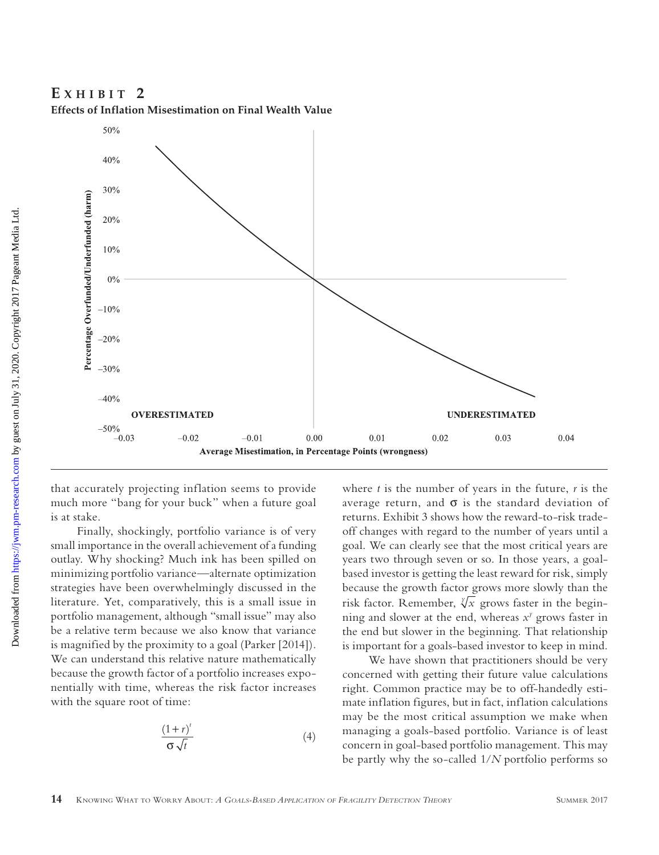**Effects of Inflation Misestimation on Final Wealth Value**



that accurately projecting inflation seems to provide much more "bang for your buck" when a future goal is at stake.

Finally, shockingly, portfolio variance is of very small importance in the overall achievement of a funding outlay. Why shocking? Much ink has been spilled on minimizing portfolio variance—alternate optimization strategies have been overwhelmingly discussed in the literature. Yet, comparatively, this is a small issue in portfolio management, although "small issue" may also be a relative term because we also know that variance is magnified by the proximity to a goal (Parker [2014]). We can understand this relative nature mathematically because the growth factor of a portfolio increases exponentially with time, whereas the risk factor increases with the square root of time:

$$
\frac{(1+r)^{t}}{\sigma\sqrt{t}}\tag{4}
$$

where  $t$  is the number of years in the future,  $r$  is the average return, and  $\sigma$  is the standard deviation of returns. Exhibit 3 shows how the reward-to-risk tradeoff changes with regard to the number of years until a goal. We can clearly see that the most critical years are years two through seven or so. In those years, a goalbased investor is getting the least reward for risk, simply because the growth factor grows more slowly than the risk factor. Remember,  $\sqrt[x]{x}$  grows faster in the beginning and slower at the end, whereas  $x^y$  grows faster in the end but slower in the beginning. That relationship is important for a goals-based investor to keep in mind.

We have shown that practitioners should be very concerned with getting their future value calculations right. Common practice may be to off-handedly estimate inflation figures, but in fact, inflation calculations may be the most critical assumption we make when managing a goals-based portfolio. Variance is of least concern in goal-based portfolio management. This may be partly why the so-called 1/*N* portfolio performs so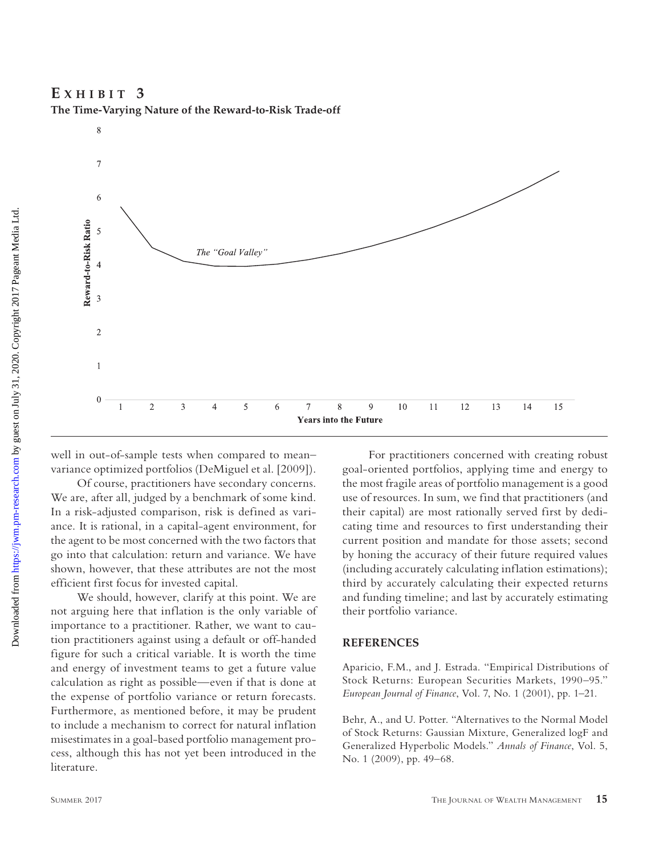**E x h i b i t 3**

**The Time-Varying Nature of the Reward-to-Risk Trade-off**



well in out-of-sample tests when compared to mean– variance optimized portfolios (DeMiguel et al. [2009]).

Of course, practitioners have secondary concerns. We are, after all, judged by a benchmark of some kind. In a risk-adjusted comparison, risk is defined as variance. It is rational, in a capital-agent environment, for the agent to be most concerned with the two factors that go into that calculation: return and variance. We have shown, however, that these attributes are not the most efficient first focus for invested capital.

We should, however, clarify at this point. We are not arguing here that inflation is the only variable of importance to a practitioner. Rather, we want to caution practitioners against using a default or off-handed figure for such a critical variable. It is worth the time and energy of investment teams to get a future value calculation as right as possible—even if that is done at the expense of portfolio variance or return forecasts. Furthermore, as mentioned before, it may be prudent to include a mechanism to correct for natural inflation misestimates in a goal-based portfolio management process, although this has not yet been introduced in the literature.

For practitioners concerned with creating robust goal-oriented portfolios, applying time and energy to the most fragile areas of portfolio management is a good use of resources. In sum, we find that practitioners (and their capital) are most rationally served first by dedicating time and resources to first understanding their current position and mandate for those assets; second by honing the accuracy of their future required values (including accurately calculating inflation estimations); third by accurately calculating their expected returns and funding timeline; and last by accurately estimating their portfolio variance.

## **REFERENCES**

Aparicio, F.M., and J. Estrada. "Empirical Distributions of Stock Returns: European Securities Markets, 1990–95." *European Journal of Finance*, Vol. 7, No. 1 (2001), pp. 1–21.

Behr, A., and U. Potter. "Alternatives to the Normal Model of Stock Returns: Gaussian Mixture, Generalized logF and Generalized Hyperbolic Models." *Annals of Finance*, Vol. 5, No. 1 (2009), pp. 49–68.